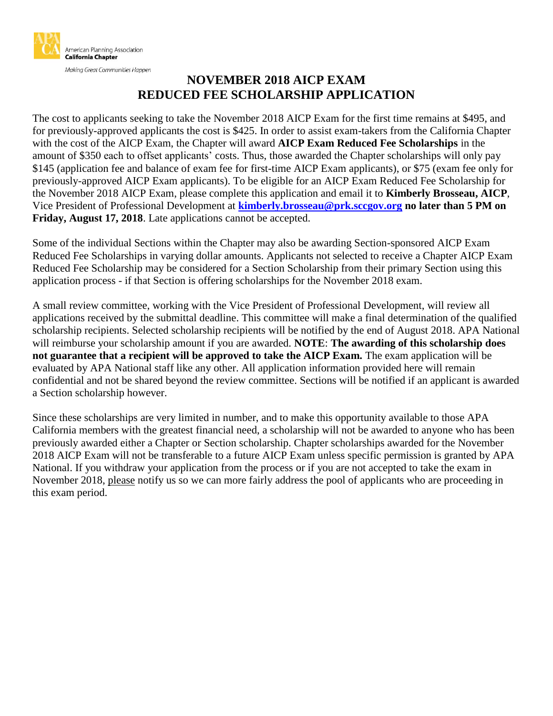

Making Great Communities Happen

#### **NOVEMBER 2018 AICP EXAM REDUCED FEE SCHOLARSHIP APPLICATION**

The cost to applicants seeking to take the November 2018 AICP Exam for the first time remains at \$495, and for previously-approved applicants the cost is \$425. In order to assist exam-takers from the California Chapter with the cost of the AICP Exam, the Chapter will award **AICP Exam Reduced Fee Scholarships** in the amount of \$350 each to offset applicants' costs. Thus, those awarded the Chapter scholarships will only pay \$145 (application fee and balance of exam fee for first-time AICP Exam applicants), or \$75 (exam fee only for previously-approved AICP Exam applicants). To be eligible for an AICP Exam Reduced Fee Scholarship for the November 2018 AICP Exam, please complete this application and email it to **Kimberly Brosseau, AICP**, Vice President of Professional Development at **[kimberly.brosseau@prk.sccgov.org](mailto:kimberly.brosseau@prk.sccgov.org) no later than 5 PM on Friday, August 17, 2018**. Late applications cannot be accepted.

Some of the individual Sections within the Chapter may also be awarding Section-sponsored AICP Exam Reduced Fee Scholarships in varying dollar amounts. Applicants not selected to receive a Chapter AICP Exam Reduced Fee Scholarship may be considered for a Section Scholarship from their primary Section using this application process - if that Section is offering scholarships for the November 2018 exam.

A small review committee, working with the Vice President of Professional Development, will review all applications received by the submittal deadline. This committee will make a final determination of the qualified scholarship recipients. Selected scholarship recipients will be notified by the end of August 2018. APA National will reimburse your scholarship amount if you are awarded. **NOTE**: **The awarding of this scholarship does not guarantee that a recipient will be approved to take the AICP Exam.** The exam application will be evaluated by APA National staff like any other. All application information provided here will remain confidential and not be shared beyond the review committee. Sections will be notified if an applicant is awarded a Section scholarship however.

Since these scholarships are very limited in number, and to make this opportunity available to those APA California members with the greatest financial need, a scholarship will not be awarded to anyone who has been previously awarded either a Chapter or Section scholarship. Chapter scholarships awarded for the November 2018 AICP Exam will not be transferable to a future AICP Exam unless specific permission is granted by APA National. If you withdraw your application from the process or if you are not accepted to take the exam in November 2018, please notify us so we can more fairly address the pool of applicants who are proceeding in this exam period.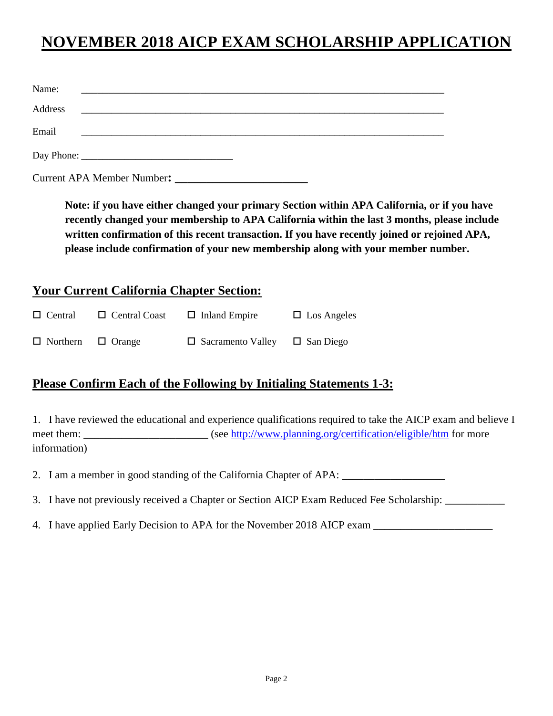# **NOVEMBER 2018 AICP EXAM SCHOLARSHIP APPLICATION**

| Name:   | <u> 1989 - Jan James James James James James James James James James James James James James James James James J</u> |
|---------|----------------------------------------------------------------------------------------------------------------------|
| Address | <u> 1980 - Andrea Andrewski, fransk politik (d. 1980)</u>                                                            |
| Email   |                                                                                                                      |
|         |                                                                                                                      |
|         | <b>Current APA Member Number:</b>                                                                                    |

**Note: if you have either changed your primary Section within APA California, or if you have recently changed your membership to APA California within the last 3 months, please include written confirmation of this recent transaction. If you have recently joined or rejoined APA, please include confirmation of your new membership along with your member number.**

#### **Your Current California Chapter Section:**

| $\Box$ Central                | $\Box$ Central Coast | $\Box$ Inland Empire                      | $\Box$ Los Angeles |
|-------------------------------|----------------------|-------------------------------------------|--------------------|
| $\Box$ Northern $\Box$ Orange |                      | $\Box$ Sacramento Valley $\Box$ San Diego |                    |

#### **Please Confirm Each of the Following by Initialing Statements 1-3:**

1. I have reviewed the educational and experience qualifications required to take the AICP exam and believe I meet them: (see<http://www.planning.org/certification/eligible/htm> for more information)

2. I am a member in good standing of the California Chapter of APA: \_\_\_\_\_\_\_\_\_\_\_\_\_

- 3. I have not previously received a Chapter or Section AICP Exam Reduced Fee Scholarship: \_\_\_\_\_\_\_\_\_\_\_
- 4. I have applied Early Decision to APA for the November 2018 AICP exam \_\_\_\_\_\_\_\_\_\_\_\_\_\_\_\_\_\_\_\_\_\_